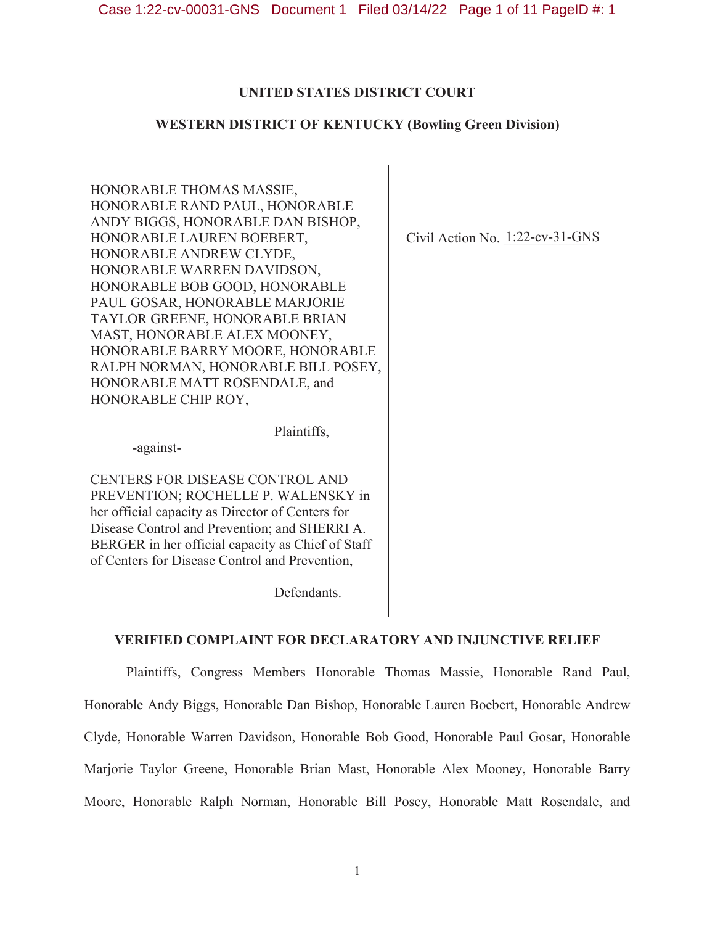# **UNITED STATES DISTRICT COURT**

# **WESTERN DISTRICT OF KENTUCKY (Bowling Green Division)**

HONORABLE THOMAS MASSIE, HONORABLE RAND PAUL, HONORABLE ANDY BIGGS, HONORABLE DAN BISHOP, HONORABLE LAUREN BOEBERT, HONORABLE ANDREW CLYDE, HONORABLE WARREN DAVIDSON, HONORABLE BOB GOOD, HONORABLE PAUL GOSAR, HONORABLE MARJORIE TAYLOR GREENE, HONORABLE BRIAN MAST, HONORABLE ALEX MOONEY, HONORABLE BARRY MOORE, HONORABLE RALPH NORMAN, HONORABLE BILL POSEY, HONORABLE MATT ROSENDALE, and HONORABLE CHIP ROY,

Civil Action No. 1:22-cv-31-GNS

-against-

CENTERS FOR DISEASE CONTROL AND PREVENTION; ROCHELLE P. WALENSKY in her official capacity as Director of Centers for Disease Control and Prevention; and SHERRI A. BERGER in her official capacity as Chief of Staff of Centers for Disease Control and Prevention,

Defendants.

Plaintiffs,

## **VERIFIED COMPLAINT FOR DECLARATORY AND INJUNCTIVE RELIEF**

Plaintiffs, Congress Members Honorable Thomas Massie, Honorable Rand Paul, Honorable Andy Biggs, Honorable Dan Bishop, Honorable Lauren Boebert, Honorable Andrew Clyde, Honorable Warren Davidson, Honorable Bob Good, Honorable Paul Gosar, Honorable Marjorie Taylor Greene, Honorable Brian Mast, Honorable Alex Mooney, Honorable Barry Moore, Honorable Ralph Norman, Honorable Bill Posey, Honorable Matt Rosendale, and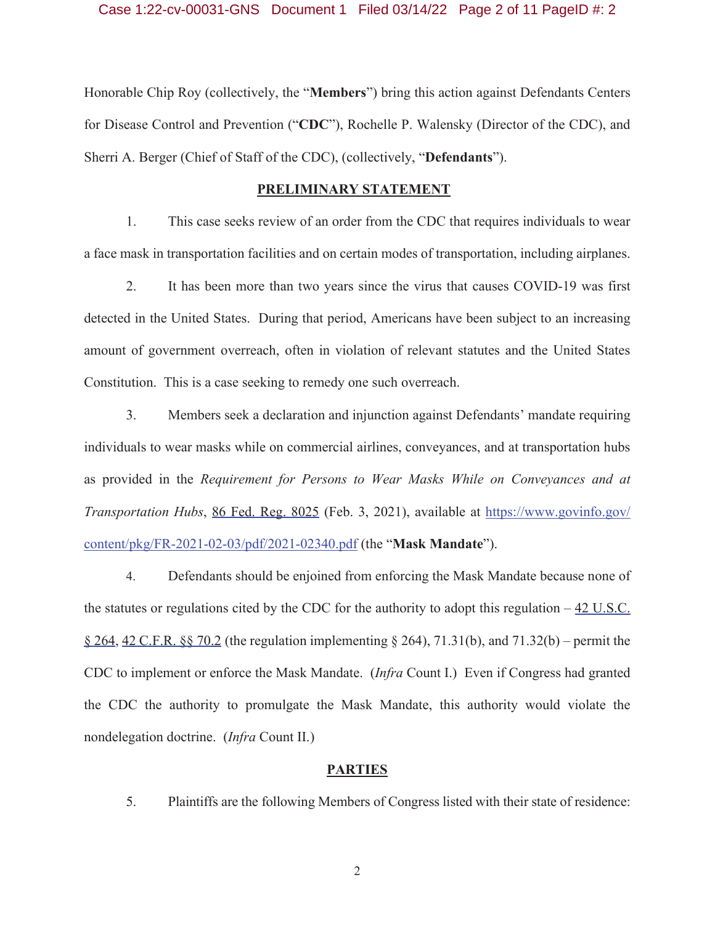Honorable Chip Roy (collectively, the "**Members**") bring this action against Defendants Centers for Disease Control and Prevention ("**CDC**"), Rochelle P. Walensky (Director of the CDC), and Sherri A. Berger (Chief of Staff of the CDC), (collectively, "**Defendants**").

## **PRELIMINARY STATEMENT**

1. This case seeks review of an order from the CDC that requires individuals to wear a face mask in transportation facilities and on certain modes of transportation, including airplanes.

2. It has been more than two years since the virus that causes COVID-19 was first detected in the United States. During that period, Americans have been subject to an increasing amount of government overreach, often in violation of relevant statutes and the United States Constitution. This is a case seeking to remedy one such overreach.

3. Members seek a declaration and injunction against Defendants' mandate requiring individuals to wear masks while on commercial airlines, conveyances, and at transportation hubs as provided in the *Requirement for Persons to Wear Masks While on Conveyances and at Transportation Hubs*, 86 Fed. Reg. 8025 (Feb. 3, 2021), available at https://www.govinfo.gov/ content/pkg/FR-2021-02-03/pdf/2021-02340.pdf (the "**Mask Mandate**").

4. Defendants should be enjoined from enforcing the Mask Mandate because none of the statutes or regulations cited by the CDC for the authority to adopt this regulation  $-42$  U.S.C. § 264, 42 C.F.R. §§ 70.2 (the regulation implementing § 264), 71.31(b), and 71.32(b) – permit the CDC to implement or enforce the Mask Mandate. (*Infra* Count I.) Even if Congress had granted the CDC the authority to promulgate the Mask Mandate, this authority would violate the nondelegation doctrine. (*Infra* Count II.)

## **PARTIES**

5. Plaintiffs are the following Members of Congress listed with their state of residence: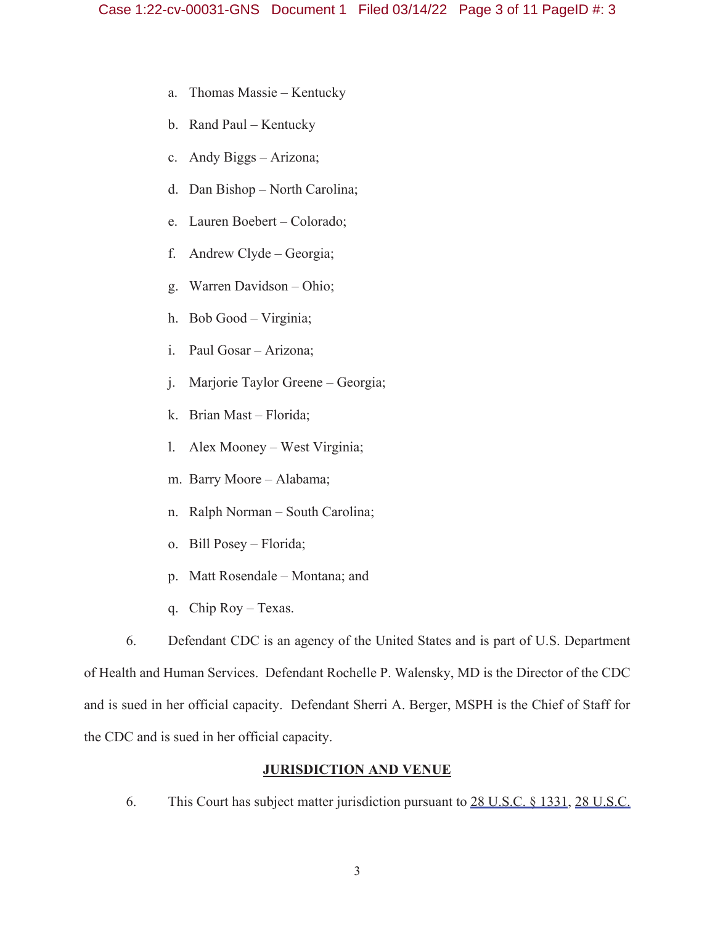- a. Thomas Massie Kentucky
- b. Rand Paul Kentucky
- c. Andy Biggs Arizona;
- d. Dan Bishop North Carolina;
- e. Lauren Boebert Colorado;
- f. Andrew Clyde Georgia;
- g. Warren Davidson Ohio;
- h. Bob Good Virginia;
- i. Paul Gosar Arizona;
- j. Marjorie Taylor Greene Georgia;
- k. Brian Mast Florida;
- l. Alex Mooney West Virginia;
- m. Barry Moore Alabama;
- n. Ralph Norman South Carolina;
- o. Bill Posey Florida;
- p. Matt Rosendale Montana; and
- q. Chip Roy Texas.

6. Defendant CDC is an agency of the United States and is part of U.S. Department of Health and Human Services. Defendant Rochelle P. Walensky, MD is the Director of the CDC and is sued in her official capacity. Defendant Sherri A. Berger, MSPH is the Chief of Staff for the CDC and is sued in her official capacity.

# **JURISDICTION AND VENUE**

6. This Court has subject matter jurisdiction pursuant to 28 U.S.C. § 1331, 28 U.S.C.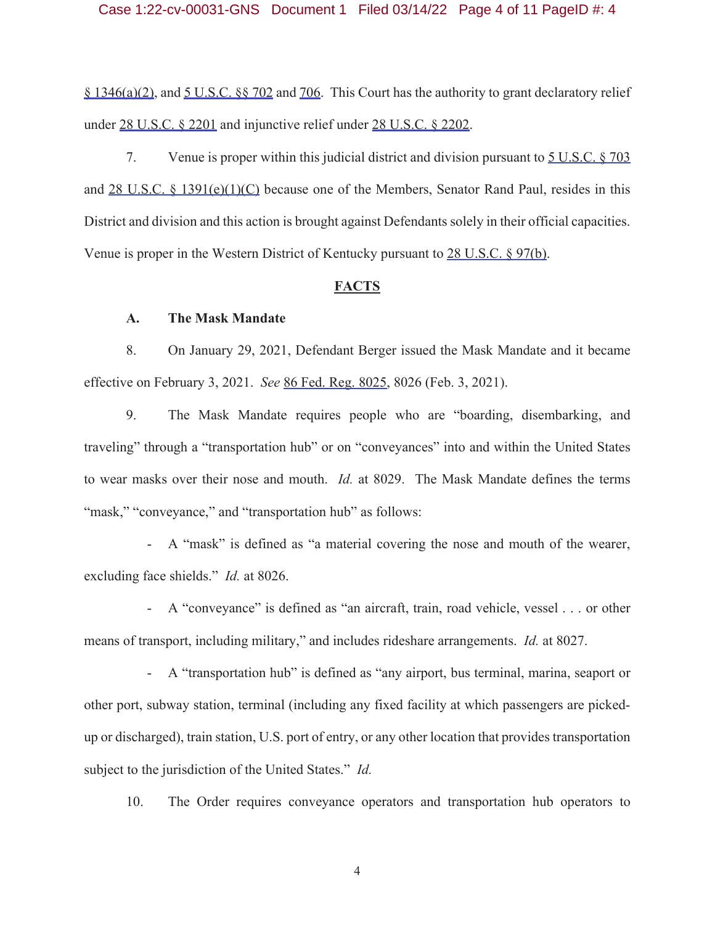§ 1346(a)(2), and 5 U.S.C. §§ 702 and 706. This Court has the authority to grant declaratory relief under 28 U.S.C. § 2201 and injunctive relief under 28 U.S.C. § 2202.

7. Venue is proper within this judicial district and division pursuant to 5 U.S.C. § 703 and 28 U.S.C. § 1391(e)(1)(C) because one of the Members, Senator Rand Paul, resides in this District and division and this action is brought against Defendants solely in their official capacities. Venue is proper in the Western District of Kentucky pursuant to 28 U.S.C. § 97(b).

### **FACTS**

## **A. The Mask Mandate**

8. On January 29, 2021, Defendant Berger issued the Mask Mandate and it became effective on February 3, 2021. *See* 86 Fed. Reg. 8025, 8026 (Feb. 3, 2021).

9. The Mask Mandate requires people who are "boarding, disembarking, and traveling" through a "transportation hub" or on "conveyances" into and within the United States to wear masks over their nose and mouth. *Id.* at 8029. The Mask Mandate defines the terms "mask," "conveyance," and "transportation hub" as follows:

- A "mask" is defined as "a material covering the nose and mouth of the wearer, excluding face shields." *Id.* at 8026.

- A "conveyance" is defined as "an aircraft, train, road vehicle, vessel . . . or other means of transport, including military," and includes rideshare arrangements. *Id.* at 8027.

- A "transportation hub" is defined as "any airport, bus terminal, marina, seaport or other port, subway station, terminal (including any fixed facility at which passengers are pickedup or discharged), train station, U.S. port of entry, or any other location that provides transportation subject to the jurisdiction of the United States." *Id.*

10. The Order requires conveyance operators and transportation hub operators to

4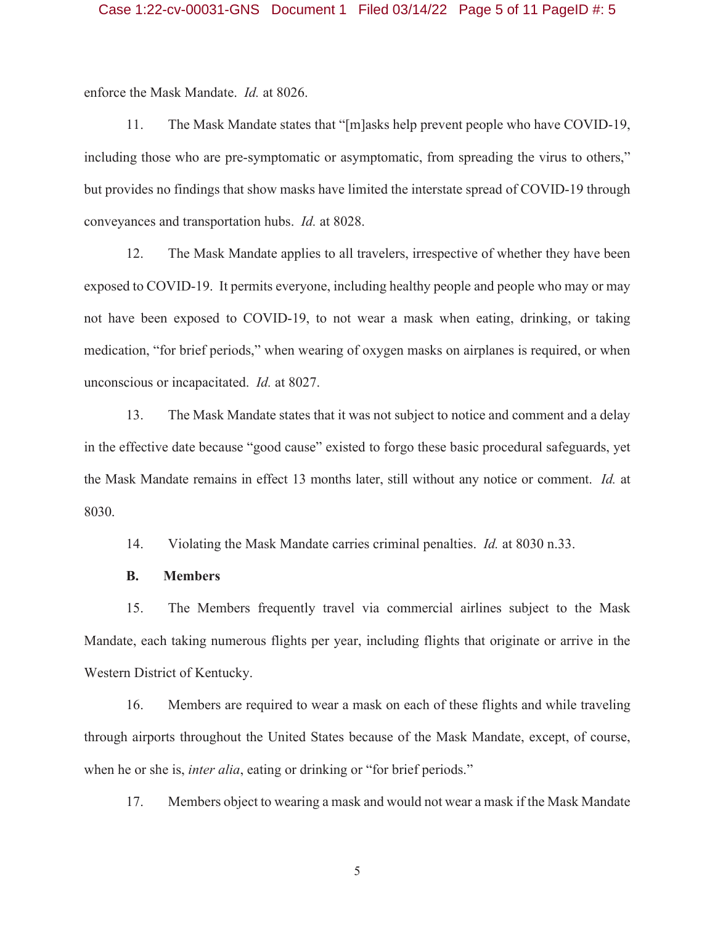enforce the Mask Mandate. *Id.* at 8026.

11. The Mask Mandate states that "[m]asks help prevent people who have COVID-19, including those who are pre-symptomatic or asymptomatic, from spreading the virus to others," but provides no findings that show masks have limited the interstate spread of COVID-19 through conveyances and transportation hubs. *Id.* at 8028.

12. The Mask Mandate applies to all travelers, irrespective of whether they have been exposed to COVID-19. It permits everyone, including healthy people and people who may or may not have been exposed to COVID-19, to not wear a mask when eating, drinking, or taking medication, "for brief periods," when wearing of oxygen masks on airplanes is required, or when unconscious or incapacitated. *Id.* at 8027.

13. The Mask Mandate states that it was not subject to notice and comment and a delay in the effective date because "good cause" existed to forgo these basic procedural safeguards, yet the Mask Mandate remains in effect 13 months later, still without any notice or comment. *Id.* at 8030.

14. Violating the Mask Mandate carries criminal penalties. *Id.* at 8030 n.33.

## **B. Members**

15. The Members frequently travel via commercial airlines subject to the Mask Mandate, each taking numerous flights per year, including flights that originate or arrive in the Western District of Kentucky.

16. Members are required to wear a mask on each of these flights and while traveling through airports throughout the United States because of the Mask Mandate, except, of course, when he or she is, *inter alia*, eating or drinking or "for brief periods."

17. Members object to wearing a mask and would not wear a mask if the Mask Mandate

5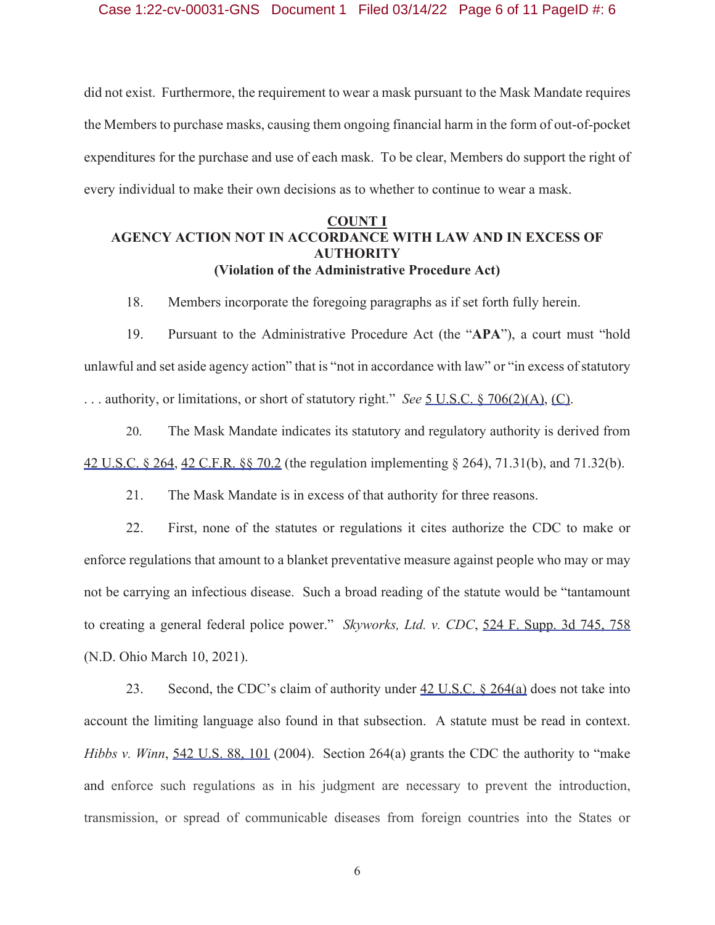did not exist. Furthermore, the requirement to wear a mask pursuant to the Mask Mandate requires the Members to purchase masks, causing them ongoing financial harm in the form of out-of-pocket expenditures for the purchase and use of each mask. To be clear, Members do support the right of every individual to make their own decisions as to whether to continue to wear a mask.

# **COUNT I AGENCY ACTION NOT IN ACCORDANCE WITH LAW AND IN EXCESS OF AUTHORITY (Violation of the Administrative Procedure Act)**

18. Members incorporate the foregoing paragraphs as if set forth fully herein.

19. Pursuant to the Administrative Procedure Act (the "**APA**"), a court must "hold unlawful and set aside agency action" that is "not in accordance with law" or "in excess of statutory . . . authority, or limitations, or short of statutory right." *See* 5 U.S.C. § 706(2)(A), (C).

20. The Mask Mandate indicates its statutory and regulatory authority is derived from 42 U.S.C. § 264, 42 C.F.R. §§ 70.2 (the regulation implementing § 264), 71.31(b), and 71.32(b).

21. The Mask Mandate is in excess of that authority for three reasons.

22. First, none of the statutes or regulations it cites authorize the CDC to make or enforce regulations that amount to a blanket preventative measure against people who may or may not be carrying an infectious disease. Such a broad reading of the statute would be "tantamount to creating a general federal police power." *Skyworks, Ltd. v. CDC*, 524 F. Supp. 3d 745, 758 (N.D. Ohio March 10, 2021).

23. Second, the CDC's claim of authority under 42 U.S.C. § 264(a) does not take into account the limiting language also found in that subsection. A statute must be read in context. *Hibbs v. Winn*, 542 U.S. 88, 101 (2004). Section 264(a) grants the CDC the authority to "make and enforce such regulations as in his judgment are necessary to prevent the introduction, transmission, or spread of communicable diseases from foreign countries into the States or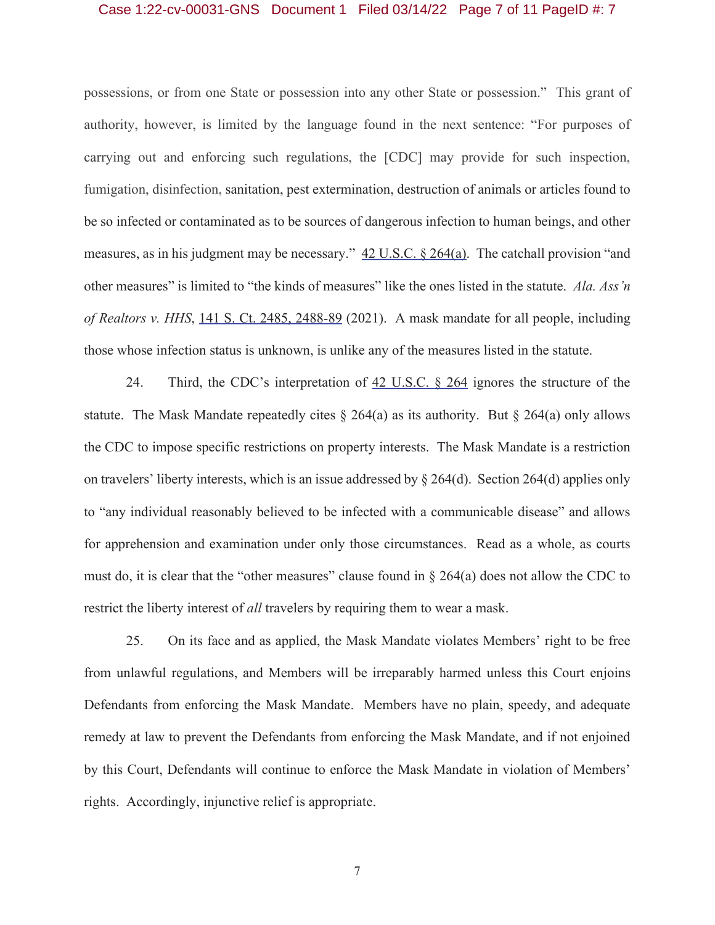#### Case 1:22-cv-00031-GNS Document 1 Filed 03/14/22 Page 7 of 11 PageID #: 7

possessions, or from one State or possession into any other State or possession." This grant of authority, however, is limited by the language found in the next sentence: "For purposes of carrying out and enforcing such regulations, the [CDC] may provide for such inspection, fumigation, disinfection, sanitation, pest extermination, destruction of animals or articles found to be so infected or contaminated as to be sources of dangerous infection to human beings, and other measures, as in his judgment may be necessary."  $42 \text{ U.S.C.} \& 264(a)$ . The catchall provision "and other measures" is limited to "the kinds of measures" like the ones listed in the statute. *Ala. Ass'n of Realtors v. HHS*, 141 S. Ct. 2485, 2488-89 (2021). A mask mandate for all people, including those whose infection status is unknown, is unlike any of the measures listed in the statute.

24. Third, the CDC's interpretation of  $42$  U.S.C.  $8$  264 ignores the structure of the statute. The Mask Mandate repeatedly cites  $\S 264(a)$  as its authority. But  $\S 264(a)$  only allows the CDC to impose specific restrictions on property interests. The Mask Mandate is a restriction on travelers' liberty interests, which is an issue addressed by § 264(d). Section 264(d) applies only to "any individual reasonably believed to be infected with a communicable disease" and allows for apprehension and examination under only those circumstances. Read as a whole, as courts must do, it is clear that the "other measures" clause found in  $\S 264(a)$  does not allow the CDC to restrict the liberty interest of *all* travelers by requiring them to wear a mask.

25. On its face and as applied, the Mask Mandate violates Members' right to be free from unlawful regulations, and Members will be irreparably harmed unless this Court enjoins Defendants from enforcing the Mask Mandate. Members have no plain, speedy, and adequate remedy at law to prevent the Defendants from enforcing the Mask Mandate, and if not enjoined by this Court, Defendants will continue to enforce the Mask Mandate in violation of Members' rights. Accordingly, injunctive relief is appropriate.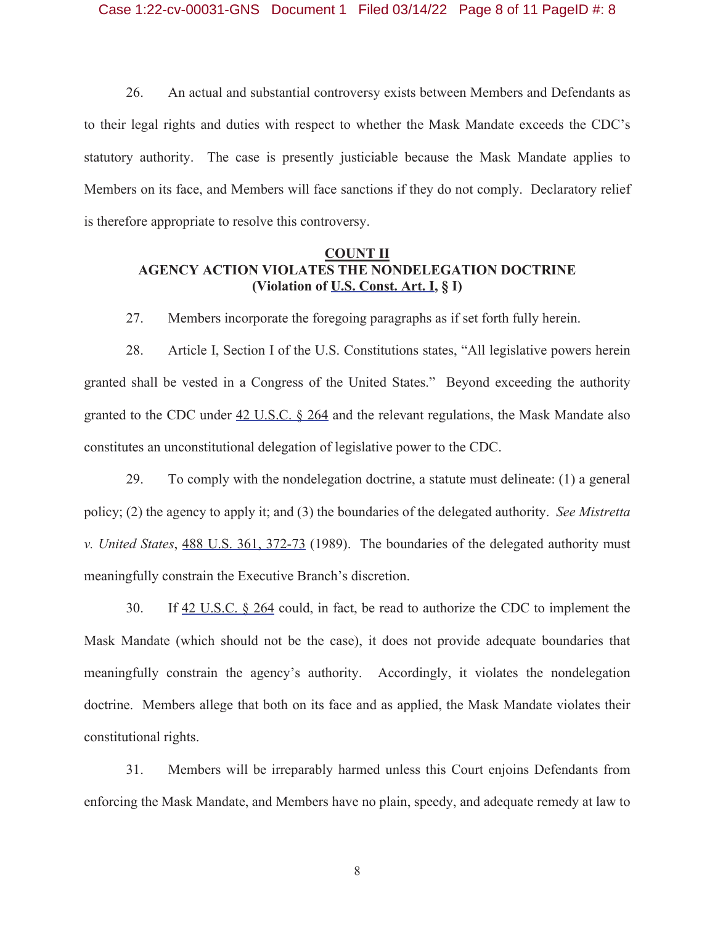26. An actual and substantial controversy exists between Members and Defendants as to their legal rights and duties with respect to whether the Mask Mandate exceeds the CDC's statutory authority. The case is presently justiciable because the Mask Mandate applies to Members on its face, and Members will face sanctions if they do not comply. Declaratory relief is therefore appropriate to resolve this controversy.

# **COUNT II AGENCY ACTION VIOLATES THE NONDELEGATION DOCTRINE (Violation of U.S. Const. Art. I, § I)**

27. Members incorporate the foregoing paragraphs as if set forth fully herein.

28. Article I, Section I of the U.S. Constitutions states, "All legislative powers herein granted shall be vested in a Congress of the United States." Beyond exceeding the authority granted to the CDC under 42 U.S.C. § 264 and the relevant regulations, the Mask Mandate also constitutes an unconstitutional delegation of legislative power to the CDC.

29. To comply with the nondelegation doctrine, a statute must delineate: (1) a general policy; (2) the agency to apply it; and (3) the boundaries of the delegated authority. *See Mistretta v. United States*, 488 U.S. 361, 372-73 (1989). The boundaries of the delegated authority must meaningfully constrain the Executive Branch's discretion.

30. If 42 U.S.C. § 264 could, in fact, be read to authorize the CDC to implement the Mask Mandate (which should not be the case), it does not provide adequate boundaries that meaningfully constrain the agency's authority. Accordingly, it violates the nondelegation doctrine. Members allege that both on its face and as applied, the Mask Mandate violates their constitutional rights.

31. Members will be irreparably harmed unless this Court enjoins Defendants from enforcing the Mask Mandate, and Members have no plain, speedy, and adequate remedy at law to

8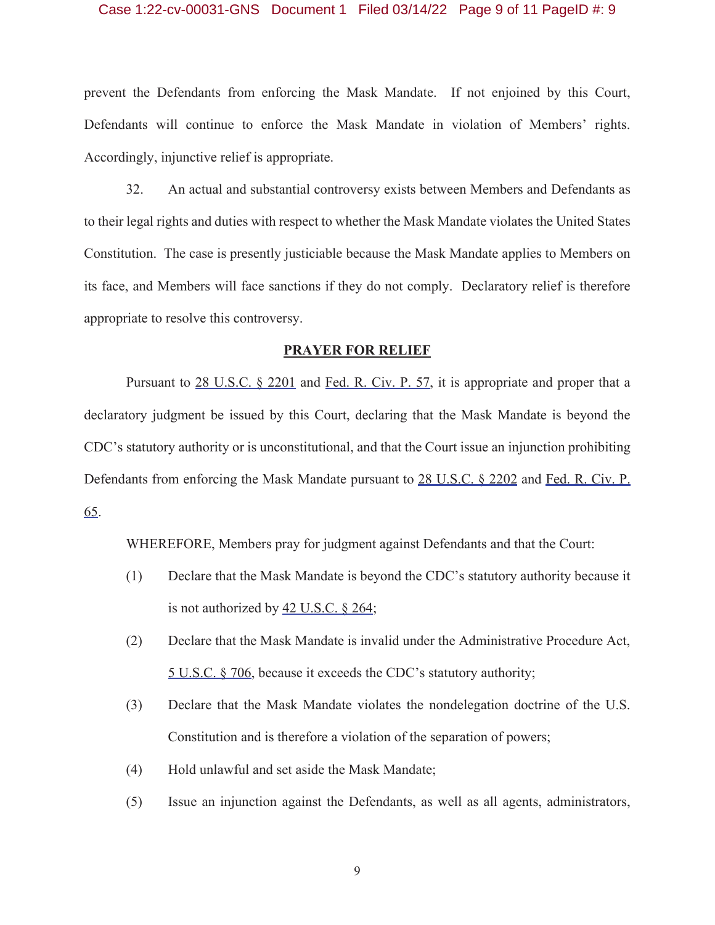#### Case 1:22-cv-00031-GNS Document 1 Filed 03/14/22 Page 9 of 11 PageID #: 9

prevent the Defendants from enforcing the Mask Mandate. If not enjoined by this Court, Defendants will continue to enforce the Mask Mandate in violation of Members' rights. Accordingly, injunctive relief is appropriate.

32. An actual and substantial controversy exists between Members and Defendants as to their legal rights and duties with respect to whether the Mask Mandate violates the United States Constitution. The case is presently justiciable because the Mask Mandate applies to Members on its face, and Members will face sanctions if they do not comply. Declaratory relief is therefore appropriate to resolve this controversy.

### **PRAYER FOR RELIEF**

Pursuant to 28 U.S.C. § 2201 and Fed. R. Civ. P. 57, it is appropriate and proper that a declaratory judgment be issued by this Court, declaring that the Mask Mandate is beyond the CDC's statutory authority or is unconstitutional, and that the Court issue an injunction prohibiting Defendants from enforcing the Mask Mandate pursuant to 28 U.S.C. § 2202 and Fed. R. Civ. P. 65.

WHEREFORE, Members pray for judgment against Defendants and that the Court:

- (1) Declare that the Mask Mandate is beyond the CDC's statutory authority because it is not authorized by 42 U.S.C. § 264;
- (2) Declare that the Mask Mandate is invalid under the Administrative Procedure Act, 5 U.S.C. § 706, because it exceeds the CDC's statutory authority;
- (3) Declare that the Mask Mandate violates the nondelegation doctrine of the U.S. Constitution and is therefore a violation of the separation of powers;
- (4) Hold unlawful and set aside the Mask Mandate;
- (5) Issue an injunction against the Defendants, as well as all agents, administrators,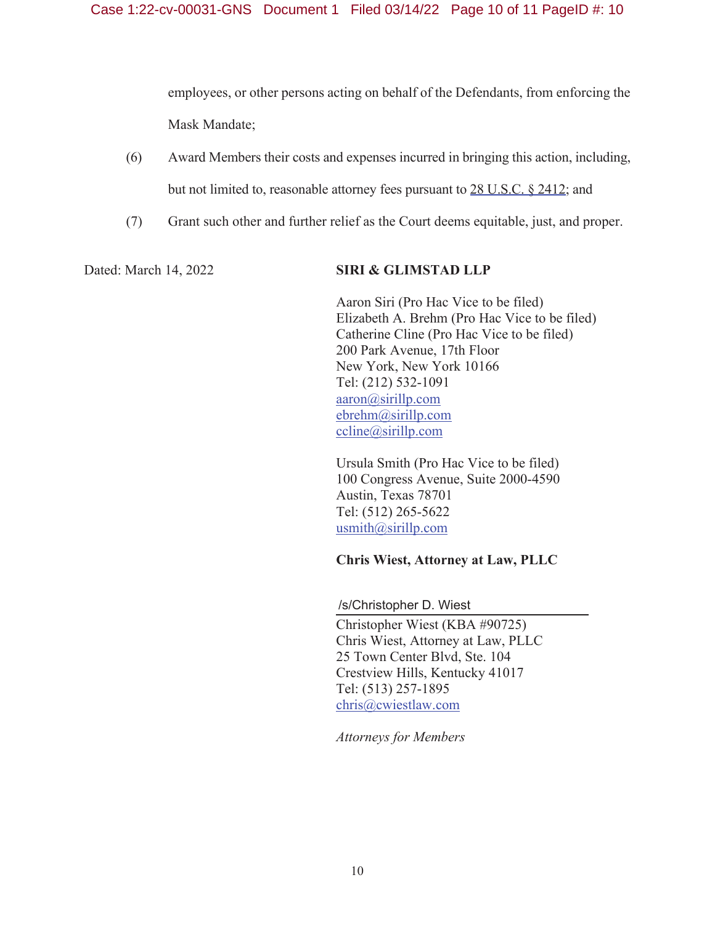employees, or other persons acting on behalf of the Defendants, from enforcing the Mask Mandate;

- (6) Award Members their costs and expenses incurred in bringing this action, including, but not limited to, reasonable attorney fees pursuant to 28 U.S.C. § 2412; and
- (7) Grant such other and further relief as the Court deems equitable, just, and proper.

# Dated: March 14, 2022 **SIRI & GLIMSTAD LLP**

Aaron Siri (Pro Hac Vice to be filed) Elizabeth A. Brehm (Pro Hac Vice to be filed) Catherine Cline (Pro Hac Vice to be filed) 200 Park Avenue, 17th Floor New York, New York 10166 Tel: (212) 532-1091 aaron@sirillp.com ebrehm@sirillp.com ccline@sirillp.com

Ursula Smith (Pro Hac Vice to be filed) 100 Congress Avenue, Suite 2000-4590 Austin, Texas 78701 Tel: (512) 265-5622 usmith@sirillp.com

# **Chris Wiest, Attorney at Law, PLLC**

/s/Christopher D. Wiest

Christopher Wiest (KBA #90725) Chris Wiest, Attorney at Law, PLLC 25 Town Center Blvd, Ste. 104 Crestview Hills, Kentucky 41017 Tel: (513) 257-1895 chris@cwiestlaw.com

*Attorneys for Members*